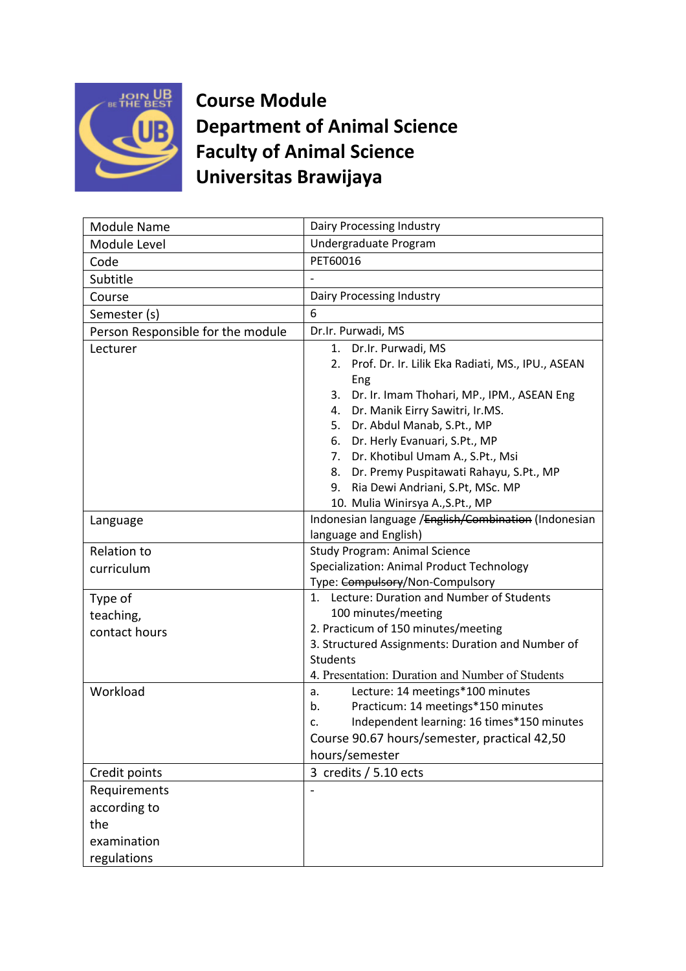

**Course Module Department of Animal Science Faculty of Animal Science Universitas Brawijaya**

|                                                   | Dairy Processing Industry                             |
|---------------------------------------------------|-------------------------------------------------------|
| <b>Module Name</b>                                |                                                       |
| Module Level                                      | Undergraduate Program                                 |
| Code                                              | PET60016                                              |
| Subtitle                                          |                                                       |
| Course                                            | Dairy Processing Industry                             |
| Semester (s)                                      | 6                                                     |
| Person Responsible for the module                 | Dr.Ir. Purwadi, MS                                    |
| Lecturer                                          | Dr.Ir. Purwadi, MS<br>1.                              |
|                                                   | 2. Prof. Dr. Ir. Lilik Eka Radiati, MS., IPU., ASEAN  |
|                                                   | Eng                                                   |
|                                                   | Dr. Ir. Imam Thohari, MP., IPM., ASEAN Eng<br>3.      |
|                                                   | Dr. Manik Eirry Sawitri, Ir.MS.<br>4.                 |
|                                                   | Dr. Abdul Manab, S.Pt., MP<br>5.                      |
|                                                   | 6. Dr. Herly Evanuari, S.Pt., MP                      |
|                                                   | 7. Dr. Khotibul Umam A., S.Pt., Msi                   |
|                                                   | 8.<br>Dr. Premy Puspitawati Rahayu, S.Pt., MP         |
|                                                   | Ria Dewi Andriani, S.Pt, MSc. MP<br>9.                |
|                                                   | 10. Mulia Winirsya A., S.Pt., MP                      |
| Language                                          | Indonesian language / English/Combination (Indonesian |
|                                                   | language and English)                                 |
| Relation to                                       | <b>Study Program: Animal Science</b>                  |
| curriculum                                        | Specialization: Animal Product Technology             |
|                                                   | Type: Compulsory/Non-Compulsory                       |
| Type of                                           | 1. Lecture: Duration and Number of Students           |
| teaching,                                         | 100 minutes/meeting                                   |
| contact hours                                     | 2. Practicum of 150 minutes/meeting                   |
|                                                   | 3. Structured Assignments: Duration and Number of     |
|                                                   | <b>Students</b>                                       |
|                                                   | 4. Presentation: Duration and Number of Students      |
| Workload                                          | Lecture: 14 meetings*100 minutes<br>a.                |
|                                                   | Practicum: 14 meetings*150 minutes<br>b.              |
|                                                   | Independent learning: 16 times*150 minutes<br>c.      |
|                                                   | Course 90.67 hours/semester, practical 42,50          |
|                                                   | hours/semester                                        |
| Credit points                                     | 3 credits / 5.10 ects                                 |
| Requirements                                      |                                                       |
|                                                   |                                                       |
|                                                   |                                                       |
|                                                   |                                                       |
|                                                   |                                                       |
| according to<br>the<br>examination<br>regulations |                                                       |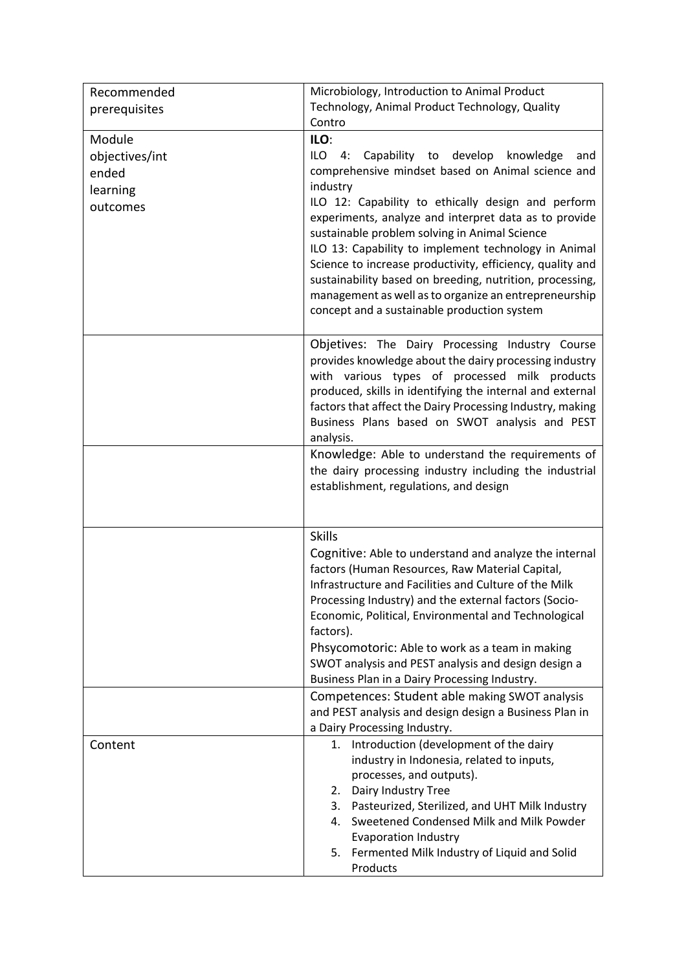| Recommended    | Microbiology, Introduction to Animal Product                                                                           |
|----------------|------------------------------------------------------------------------------------------------------------------------|
| prerequisites  | Technology, Animal Product Technology, Quality                                                                         |
|                | Contro                                                                                                                 |
| Module         | ILO:                                                                                                                   |
| objectives/int | Capability to develop<br>ILO<br>knowledge<br>4:<br>and                                                                 |
| ended          | comprehensive mindset based on Animal science and                                                                      |
| learning       | industry                                                                                                               |
| outcomes       | ILO 12: Capability to ethically design and perform<br>experiments, analyze and interpret data as to provide            |
|                | sustainable problem solving in Animal Science                                                                          |
|                | ILO 13: Capability to implement technology in Animal                                                                   |
|                | Science to increase productivity, efficiency, quality and                                                              |
|                | sustainability based on breeding, nutrition, processing,                                                               |
|                | management as well as to organize an entrepreneurship                                                                  |
|                | concept and a sustainable production system                                                                            |
|                |                                                                                                                        |
|                | Objetives: The Dairy Processing Industry Course                                                                        |
|                | provides knowledge about the dairy processing industry                                                                 |
|                | with various types of processed milk products                                                                          |
|                | produced, skills in identifying the internal and external<br>factors that affect the Dairy Processing Industry, making |
|                | Business Plans based on SWOT analysis and PEST                                                                         |
|                | analysis.                                                                                                              |
|                | Knowledge: Able to understand the requirements of                                                                      |
|                | the dairy processing industry including the industrial                                                                 |
|                | establishment, regulations, and design                                                                                 |
|                |                                                                                                                        |
|                |                                                                                                                        |
|                | <b>Skills</b>                                                                                                          |
|                | Cognitive: Able to understand and analyze the internal                                                                 |
|                | factors (Human Resources, Raw Material Capital,                                                                        |
|                | Infrastructure and Facilities and Culture of the Milk<br>Processing Industry) and the external factors (Socio-         |
|                | Economic, Political, Environmental and Technological                                                                   |
|                | factors).                                                                                                              |
|                | Phsycomotoric: Able to work as a team in making                                                                        |
|                | SWOT analysis and PEST analysis and design design a                                                                    |
|                | Business Plan in a Dairy Processing Industry.                                                                          |
|                | Competences: Student able making SWOT analysis                                                                         |
|                | and PEST analysis and design design a Business Plan in                                                                 |
|                | a Dairy Processing Industry.                                                                                           |
| Content        | Introduction (development of the dairy<br>1.                                                                           |
|                | industry in Indonesia, related to inputs,                                                                              |
|                | processes, and outputs).<br>Dairy Industry Tree<br>2.                                                                  |
|                | 3. Pasteurized, Sterilized, and UHT Milk Industry                                                                      |
|                | Sweetened Condensed Milk and Milk Powder<br>4.                                                                         |
|                | <b>Evaporation Industry</b>                                                                                            |
|                | Fermented Milk Industry of Liquid and Solid<br>5.                                                                      |
|                | Products                                                                                                               |